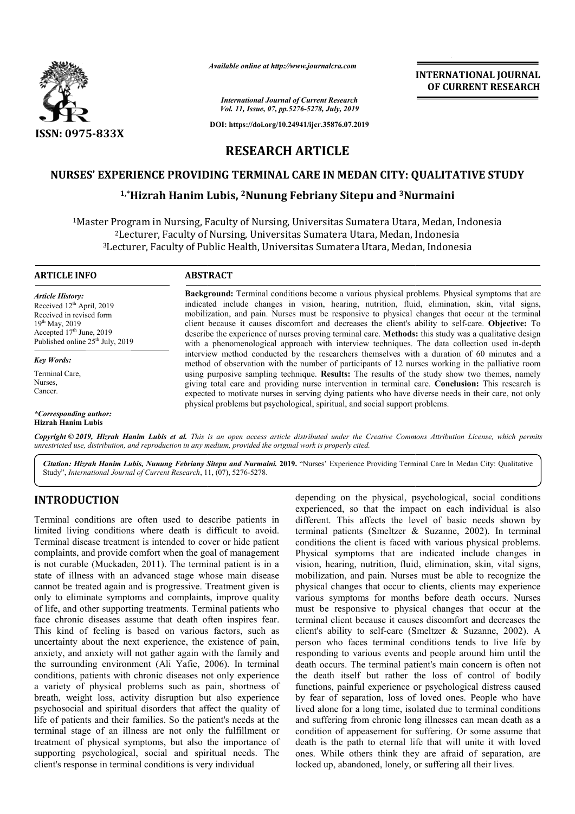

*Available online at http://www.journalcra.com*

*International Journal of Current Research Vol. 11, Issue, 07, pp.5276-5278, July, 2019*

**DOI: https://doi.org/10.24941/ijcr.35876.07.2019**

### **INTERNATIONAL JOURNAL OF CURRENT RESEARCH**

**RESEARCH ARTICLE**

# **NURSES' EXPERIENCE PROVIDING TERMINAL CARE IN MEDAN CITY: QUALITATIVE STUDY**

# $^{1, *}$ Hizrah Hanim Lubis, <sup>2</sup>Nunung Febriany Sitepu and <sup>3</sup>Nurmaini

<sup>1</sup>Master Program in Nursing, Faculty of Nursing, Universitas Sumatera Utara, Medan, Indonesia<sup>2</sup>Lecturer, Faculty of Nursing, Universitas Sumatera Utara, Medan, Indonesia<sup>3</sup>Lecturer, Faculty of Public Health, Universitas 2Lecturer, Faculty of Nursing, Universitas Sumatera Utara, Medan, Indonesia <sup>3</sup>Lecturer, Faculty of Public Health, Universitas Sumatera Utara, Medan, Indonesia

#### **ARTICLE INFO ABSTRACT**

*Article History:* Received 12<sup>th</sup> April, 2019 Received in revised form 19th May, 2019 Accepted 17<sup>th</sup> June, 2019 Published online 25<sup>th</sup> July, 2019

*Key Words:* Terminal Care, Nurses, Cancer.

*\*Corresponding author:* **Hizrah Hanim Lubis**

**Background:** Terminal conditions become a various physical problems. Physical symptoms that are indicated include changes in vision, hearing, nutrition, fluid, elimination, skin, vital signs, mobilization, and pain. Nurses must be responsive to physical changes that occur at the terminal **Background:** Terminal conditions become a various physical problems. Physical symptoms that are indicated include changes in vision, hearing, nutrition, fluid, elimination, skin, vital signs, mobilization, and pain. Nurse describe the experience of nurses proving terminal care. Methods: this study was a qualitative design with a phenomenological approach with interview techniques. The data collection used in-depth interview method conducted by the researchers themselves with a duration of 60 minutes and a interview method conducted by the researchers themselves with a duration of 60 minutes and a method of observation with the number of participants of 12 nurses working in the palliative room using purposive sampling technique. **Results:** The results of the study show two themes, namely using purposive sampling technique. **Results:** The results of the study show two themes, namely giving total care and providing nurse intervention in terminal care. Conclusion: This research is expected to motivate nurses in serving dying patients who have diverse needs in their care, not only physical problems but psychological, spiritual, and social support problems. physical problems but psychological, spiritual, and social support problems.

Copyright © 2019, Hizrah Hanim Lubis et al. This is an open access article distributed under the Creative Commons Attribution License, which permits *unrestricted use, distribution, and reproduction in any medium, provided the original work is properly cited.*

Citation: Hizrah Hanim Lubis, Nunung Febriany Sitepu and Nurmaini. 2019. "Nurses' Experience Providing Terminal Care In Medan City: Qualitative Study", *International Journal of Current Research*, 11, (07), 5276-5278.

#### **INTRODUCTION**

Terminal conditions are often used to describe patients in limited living conditions where death is difficult to avoid. Terminal disease treatment is intended to cover or hide patient complaints, and provide comfort when the goal of management is not curable (Muckaden, 2011). The terminal patient is in a state of illness with an advanced stage whose main disease cannot be treated again and is progressive. Treatment given is only to eliminate symptoms and complaints, improve quality of life, and other supporting treatments. Terminal patients who face chronic diseases assume that death often inspires fear. This kind of feeling is based on various factors, such as uncertainty about the next experience, the existence of pain, anxiety, and anxiety will not gather again with the family and the surrounding environment (Ali Yafie, 2006). In terminal conditions, patients with chronic diseases not only experience a variety of physical problems such as pain, shortness of breath, weight loss, activity disruption but also experience psychosocial and spiritual disorders that affect the quality of life of patients and their families. So the patient's needs at the terminal stage of an illness are not only the fulfillment or treatment of physical symptoms, but also the importance of supporting psychological, social and spiritual needs. The client's response in terminal conditions is very individual

**CON**<br>
depending on the physical, psychological, social conditions<br>
depending on the impact on each individual is also<br>
depending on the physical productions where death is different. This affects the level of basic needs experienced, so that the impact on each individual is also different. This affects the level of basic needs shown by depending on the physical, psychological, social conditions<br>experienced, so that the impact on each individual is also<br>different. This affects the level of basic needs shown by<br>terminal patients (Smeltzer & Suzanne, 2002) conditions the client is faced with various physical problems. Physical symptoms that are indicated include changes in vision, hearing, nutrition, fluid, elimination, skin, vital signs, conditions the client is faced with various physical problems.<br>Physical symptoms that are indicated include changes in<br>vision, hearing, nutrition, fluid, elimination, skin, vital signs,<br>mobilization, and pain. Nurses must physical changes that occur to clients, clients may experience various symptoms for months before death occurs. Nurses must be responsive to physical changes that occur at the terminal client because it causes discomfort and decreases the client's ability to self-care (Smeltzer & Suzanne, 2002). A person who faces terminal conditions tends to live life by responding to various events and people around him until the death occurs. The terminal patient's main concern is often not the death itself but rather the loss of control of bodily functions, painful experience or psychological distress caused by fear of separation, loss of loved ones. People who have lived alone for a long time, isolated due to terminal conditions and suffering from chronic long illnesses can mean death as a condition of appeasement for suffering. Or some assume that death is the path to eternal life that will unite it with loved ones. While others think they are afraid of separation, are locked up, abandoned, lonely, or suffering all their lives. changes that occur to clients, clients may experience symptoms for months before death occurs. Nurses responsive to physical changes that occur at the client because it causes discomfort and decreases the ability to selfperson who faces terminal conditions tends to live life by responding to various events and people around him until the death occurs. The terminal patient's main concern is often not the death itself but rather the loss of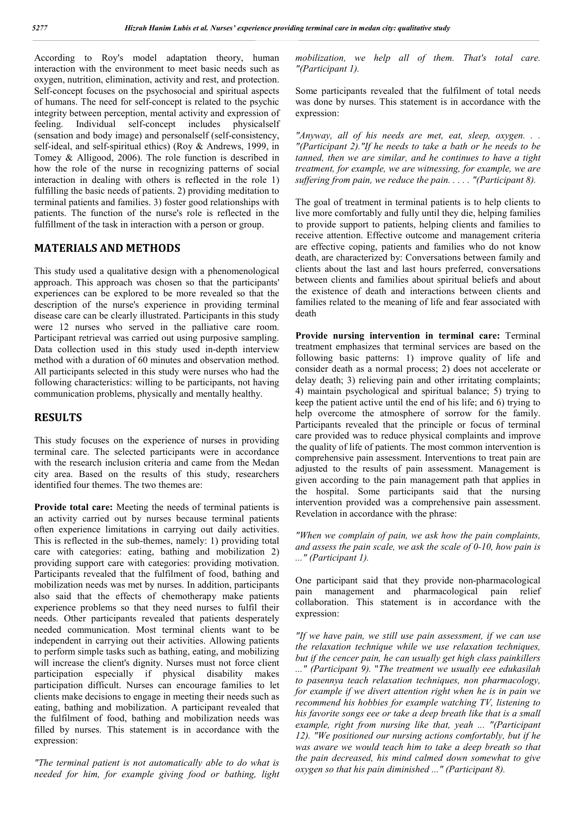According to Roy's model adaptation theory, human interaction with the environment to meet basic needs such as oxygen, nutrition, elimination, activity and rest, and protection. Self-concept focuses on the psychosocial and spiritual aspects of humans. The need for self-concept is related to the psychic integrity between perception, mental activity and expression of feeling. Individual self-concept includes physicalself (sensation and body image) and personalself (self-consistency, self-ideal, and self-spiritual ethics) (Roy & Andrews, 1999, in Tomey & Alligood, 2006). The role function is described in how the role of the nurse in recognizing patterns of social interaction in dealing with others is reflected in the role 1) fulfilling the basic needs of patients. 2) providing meditation to terminal patients and families. 3) foster good relationships with patients. The function of the nurse's role is reflected in the fulfillment of the task in interaction with a person or group.

#### **MATERIALS AND METHODS**

This study used a qualitative design with a phenomenological approach. This approach was chosen so that the participants' experiences can be explored to be more revealed so that the description of the nurse's experience in providing terminal disease care can be clearly illustrated. Participants in this study were 12 nurses who served in the palliative care room. Participant retrieval was carried out using purposive sampling. Data collection used in this study used in-depth interview method with a duration of 60 minutes and observation method. All participants selected in this study were nurses who had the following characteristics: willing to be participants, not having communication problems, physically and mentally healthy.

#### **RESULTS**

This study focuses on the experience of nurses in providing terminal care. The selected participants were in accordance with the research inclusion criteria and came from the Medan city area. Based on the results of this study, researchers identified four themes. The two themes are:

**Provide total care:** Meeting the needs of terminal patients is an activity carried out by nurses because terminal patients often experience limitations in carrying out daily activities. This is reflected in the sub-themes, namely: 1) providing total care with categories: eating, bathing and mobilization 2) providing support care with categories: providing motivation. Participants revealed that the fulfilment of food, bathing and mobilization needs was met by nurses. In addition, participants also said that the effects of chemotherapy make patients experience problems so that they need nurses to fulfil their needs. Other participants revealed that patients desperately needed communication. Most terminal clients want to be independent in carrying out their activities. Allowing patients to perform simple tasks such as bathing, eating, and mobilizing will increase the client's dignity. Nurses must not force client participation especially if physical disability makes participation difficult. Nurses can encourage families to let clients make decisions to engage in meeting their needs such as eating, bathing and mobilization. A participant revealed that the fulfilment of food, bathing and mobilization needs was filled by nurses. This statement is in accordance with the expression:

*"The terminal patient is not automatically able to do what is needed for him, for example giving food or bathing, light*  *mobilization, we help all of them. That's total care. "(Participant 1).*

Some participants revealed that the fulfilment of total needs was done by nurses. This statement is in accordance with the expression:

*"Anyway, all of his needs are met, eat, sleep, oxygen. . . "(Participant 2)."If he needs to take a bath or he needs to be tanned, then we are similar, and he continues to have a tight treatment, for example, we are witnessing, for example, we are suffering from pain, we reduce the pain. . . . . "(Participant 8).*

The goal of treatment in terminal patients is to help clients to live more comfortably and fully until they die, helping families to provide support to patients, helping clients and families to receive attention. Effective outcome and management criteria are effective coping, patients and families who do not know death, are characterized by: Conversations between family and clients about the last and last hours preferred, conversations between clients and families about spiritual beliefs and about the existence of death and interactions between clients and families related to the meaning of life and fear associated with death

**Provide nursing intervention in terminal care:** Terminal treatment emphasizes that terminal services are based on the following basic patterns: 1) improve quality of life and consider death as a normal process; 2) does not accelerate or delay death; 3) relieving pain and other irritating complaints; 4) maintain psychological and spiritual balance; 5) trying to keep the patient active until the end of his life; and 6) trying to help overcome the atmosphere of sorrow for the family. Participants revealed that the principle or focus of terminal care provided was to reduce physical complaints and improve the quality of life of patients. The most common intervention is comprehensive pain assessment. Interventions to treat pain are adjusted to the results of pain assessment. Management is given according to the pain management path that applies in the hospital. Some participants said that the nursing intervention provided was a comprehensive pain assessment. Revelation in accordance with the phrase:

*"When we complain of pain, we ask how the pain complaints, and assess the pain scale, we ask the scale of 0-10, how pain is ..." (Participant 1).*

One participant said that they provide non-pharmacological pain management and pharmacological pain relief collaboration. This statement is in accordance with the expression:

*"If we have pain, we still use pain assessment, if we can use the relaxation technique while we use relaxation techniques, but if the cencer pain, he can usually get high class painkillers ..." (Participant 9).* "*The treatment we usually eee edukasilah to pasennya teach relaxation techniques, non pharmacology, for example if we divert attention right when he is in pain we recommend his hobbies for example watching TV, listening to his favorite songs eee or take a deep breath like that is a small example, right from nursing like that, yeah ... "(Participant 12). "We positioned our nursing actions comfortably, but if he was aware we would teach him to take a deep breath so that the pain decreased, his mind calmed down somewhat to give oxygen so that his pain diminished ..." (Participant 8).*